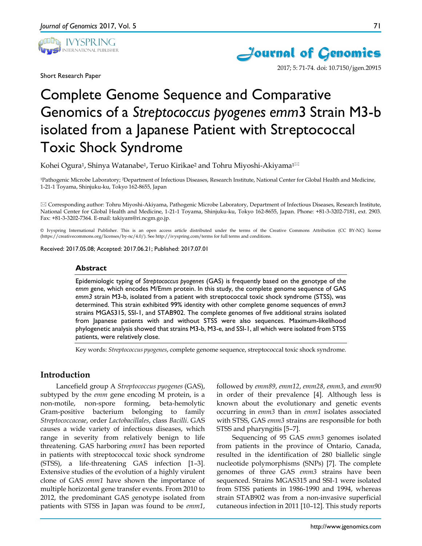

Short Research Paper



2017; 5: 71-74. doi: 10.7150/jgen.20915

# Complete Genome Sequence and Comparative Genomics of a *Streptococcus pyogenes emm*3 Strain M3-b isolated from a Japanese Patient with Streptococcal Toxic Shock Syndrome

Kohei Ogura<sup>1</sup>, Shinya Watanabe<sup>1</sup>, Teruo Kirikae<sup>2</sup> and Tohru Miyoshi-Akiyama<sup>1⊠</sup>

1Pathogenic Microbe Laboratory; 2Department of Infectious Diseases, Research Institute, National Center for Global Health and Medicine, 1-21-1 Toyama, Shinjuku-ku, Tokyo 162-8655, Japan

 Corresponding author: Tohru Miyoshi-Akiyama, Pathogenic Microbe Laboratory, Department of Infectious Diseases, Research Institute, National Center for Global Health and Medicine, 1-21-1 Toyama, Shinjuku-ku, Tokyo 162-8655, Japan. Phone: +81-3-3202-7181, ext. 2903. Fax: +81-3-3202-7364. E-mail: takiyam@ri.ncgm.go.jp.

© Ivyspring International Publisher. This is an open access article distributed under the terms of the Creative Commons Attribution (CC BY-NC) license (https://creativecommons.org/licenses/by-nc/4.0/). See http://ivyspring.com/terms for full terms and conditions.

Received: 2017.05.08; Accepted: 2017.06.21; Published: 2017.07.01

## **Abstract**

Epidemiologic typing of *Streptococcus pyogenes* (GAS) is frequently based on the genotype of the *emm* gene, which encodes M/Emm protein. In this study, the complete genome sequence of GAS *emm3* strain M3-b, isolated from a patient with streptococcal toxic shock syndrome (STSS), was determined. This strain exhibited 99% identity with other complete genome sequences of *emm3* strains MGAS315, SSI-1, and STAB902. The complete genomes of five additional strains isolated from Japanese patients with and without STSS were also sequences. Maximum-likelihood phylogenetic analysis showed that strains M3-b, M3-e, and SSI-1, all which were isolated from STSS patients, were relatively close.

Key words: *Streptococcus pyogenes*, complete genome sequence, streptococcal toxic shock syndrome.

## **Introduction**

Lancefield group A *Streptococcus pyogenes* (GAS), subtyped by the *emm* gene encoding M protein, is a non-motile, non-spore forming, beta-hemolytic Gram-positive bacterium belonging to family *Streptococcaceae*, order *Lactobacillales*, class *Bacilli*. GAS causes a wide variety of infectious diseases, which range in severity from relatively benign to life threatening. GAS harboring *emm1* has been reported in patients with streptococcal toxic shock syndrome (STSS), a life-threatening GAS infection [1–3]. Extensive studies of the evolution of a highly virulent clone of GAS *emm1* have shown the importance of multiple horizontal gene transfer events. From 2010 to 2012, the predominant GAS *g*enotype isolated from patients with STSS in Japan was found to be *emm1*,

followed by *emm89*, *emm12*, *emm28*, *emm3*, and *emm90* in order of their prevalence [4]. Although less is known about the evolutionary and genetic events occurring in *emm3* than in *emm1* isolates associated with STSS, GAS *emm3* strains are responsible for both STSS and pharyngitis [5–7].

Sequencing of 95 GAS *emm3* genomes isolated from patients in the province of Ontario, Canada, resulted in the identification of 280 biallelic single nucleotide polymorphisms (SNPs) [7]. The complete genomes of three GAS *emm3* strains have been sequenced. Strains MGAS315 and SSI-1 were isolated from STSS patients in 1986-1990 and 1994, whereas strain STAB902 was from a non-invasive superficial cutaneous infection in 2011 [10–12]. This study reports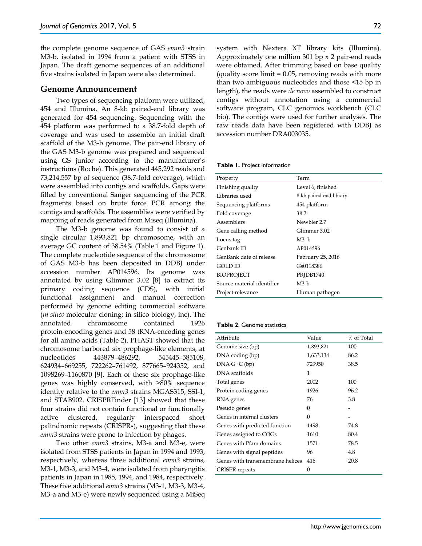the complete genome sequence of GAS *emm3* strain M3-b, isolated in 1994 from a patient with STSS in Japan. The draft genome sequences of an additional five strains isolated in Japan were also determined.

### **Genome Announcement**

Two types of sequencing platform were utilized, 454 and Illumina. An 8-kb paired-end library was generated for 454 sequencing. Sequencing with the 454 platform was performed to a 38.7-fold depth of coverage and was used to assemble an initial draft scaffold of the M3-b genome. The pair-end library of the GAS M3-b genome was prepared and sequenced using GS junior according to the manufacturer's instructions (Roche). This generated 445,292 reads and 73,214,557 bp of sequence (38.7-fold coverage), which were assembled into contigs and scaffolds. Gaps were filled by conventional Sanger sequencing of the PCR fragments based on brute force PCR among the contigs and scaffolds. The assemblies were verified by mapping of reads generated from Miseq (Illumina).

The M3-b genome was found to consist of a single circular 1,893,821 bp chromosome, with an average GC content of 38.54% (Table 1 and Figure 1). The complete nucleotide sequence of the chromosome of GAS M3-b has been deposited in DDBJ under accession number AP014596. Its genome was annotated by using Glimmer 3.02 [8] to extract its primary coding sequence (CDS), with initial functional assignment and manual correction performed by genome editing commercial software (*in silico* molecular cloning; in silico biology, inc). The annotated chromosome contained 1926 protein-encoding genes and 58 tRNA-encoding genes for all amino acids (Table 2). PHAST showed that the chromosome harbored six prophage-like elements, at nucleotides 443879–486292, 545445–585108, 624934–669255, 722262–761492, 877665–924352, and 1098269–1160870 [9]. Each of these six prophage-like genes was highly conserved, with >80% sequence identity relative to the *emm3* strains MGAS315, SSI-1, and STAB902. CRISPRFinder [13] showed that these four strains did not contain functional or functionally active clustered, regularly interspaced short palindromic repeats (CRISPRs), suggesting that these *emm3* strains were prone to infection by phages.

Two other *emm3* strains, M3-a and M3-e, were isolated from STSS patients in Japan in 1994 and 1993, respectively, whereas three additional *emm3* strains, M3-1, M3-3, and M3-4, were isolated from pharyngitis patients in Japan in 1985, 1994, and 1984, respectively. These five additional *emm3* strains (M3-1, M3-3, M3-4, M3-a and M3-e) were newly sequenced using a MiSeq system with Nextera XT library kits (Illumina). Approximately one million 301 bp x 2 pair-end reads were obtained. After trimming based on base quality (quality score limit  $= 0.05$ , removing reads with more than two ambiguous nucleotides and those <15 bp in length), the reads were *de novo* assembled to construct contigs without annotation using a commercial software program, CLC genomics workbench (CLC bio). The contigs were used for further analyses. The raw reads data have been registered with DDBJ as accession number DRA003035.

| Table 1. Project information |  |  |  |  |  |  |
|------------------------------|--|--|--|--|--|--|
|------------------------------|--|--|--|--|--|--|

| Property                   | Term                    |  |  |
|----------------------------|-------------------------|--|--|
| Finishing quality          | Level 6, finished       |  |  |
| Libraries used             | 8 kb paired-end library |  |  |
| Sequencing platforms       | 454 platform            |  |  |
| Fold coverage              | $38.7 -$                |  |  |
| Assemblers                 | Newbler 2.7             |  |  |
| Gene calling method        | Glimmer 3.02            |  |  |
| Locus tag                  | M3 b                    |  |  |
| Genbank ID                 | AP014596                |  |  |
| GenBank date of release    | February 25, 2016       |  |  |
| GOLD ID                    | Gs0118386               |  |  |
| <b>BIOPROJECT</b>          | PRIDB1740               |  |  |
| Source material identifier | $M3-b$                  |  |  |
| Project relevance          | Human pathogen          |  |  |

#### **Table 2**. Genome statistics

| Attribute                        | Value     | % of Total |
|----------------------------------|-----------|------------|
| Genome size (bp)                 | 1,893,821 | 100        |
| DNA coding (bp)                  | 1,633,134 | 86.2       |
| $DNA G+C (bp)$                   | 729950    | 38.5       |
| DNA scaffolds                    | 1         |            |
| Total genes                      | 2002      | 100        |
| Protein coding genes             | 1926      | 96.2       |
| RNA genes                        | 76        | 3.8        |
| Pseudo genes                     | 0         |            |
| Genes in internal clusters       | $\Omega$  |            |
| Genes with predicted function    | 1498      | 74.8       |
| Genes assigned to COGs           | 1610      | 80.4       |
| Genes with Pfam domains          | 1571      | 78.5       |
| Genes with signal peptides       | 96        | 4.8        |
| Genes with transmembrane helices | 416       | 20.8       |
| <b>CRISPR</b> repeats            | 0         |            |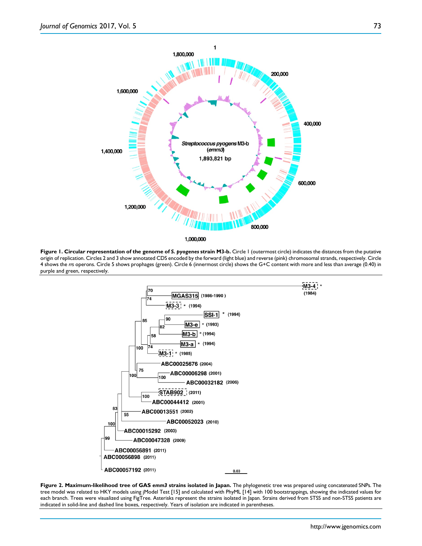

**Figure 1. Circular representation of the genome of** *S. pyogenes* **strain M3-b.** Circle 1 (outermost circle) indicates the distances from the putative origin of replication. Circles 2 and 3 show annotated CDS encoded by the forward (light blue) and reverse (pink) chromosomal strands, respectively. Circle 4 shows the *rrs* operons. Circle 5 shows prophages (green). Circle 6 (innermost circle) shows the G+C content with more and less than average (0.40) in purple and green, respectively.



**Figure 2. Maximum-likelihood tree of GAS** *emm3* **strains isolated in Japan.** The phylogenetic tree was prepared using concatenated SNPs. The tree model was related to HKY models using jModel Test [15] and calculated with PhyML [14] with 100 bootstrappings, showing the indicated values for each branch. Trees were visualized using FigTree. Asterisks represent the strains isolated in Japan. Strains derived from STSS and non-STSS patients are indicated in solid-line and dashed line boxes, respectively. Years of isolation are indicated in parentheses.